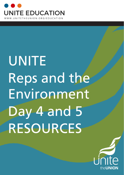

# UNITE Reps and the Environment Day 4 and 5 RESOURCES

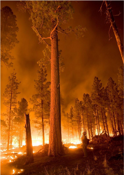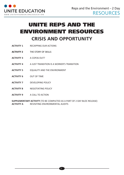

## UNITE REPS AND THE ENVIRONMENT RESOURCES **CRISIS AND OPPORTUNITY**

- **ACTIVITY 1** RECAPPING OUR ACTIONS
- **ACTIVITY 2** THE STORY OF SKILLS
- **ACTIVITY 3** A COP26 OUT?
- **ACTIVITY 4** A JUST TRANSITION IS A WORKER'S TRANSITION
- **ACTIVITY 5** EQUALITY AND THE ENVIRONMENT
- **ACTIVITY 6** OUT OF TIME
- **ACTIVITY 7** DEVELOPING POLICY
- **ACTIVITY 8** NEGOTIATING POLICY
- **ACTIVITY 9** A CALL TO ACTION

**SUPPLEMENTARY ACTIVITY** (TO BE COMPLETED AS A PART OF 2 DAY BLOC RELEASE) **ACTIVITY A** REVISITING ENVIRONMENTAL AUDITS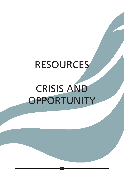## **RESOURCES CRISIS AND** OPPORTUNITY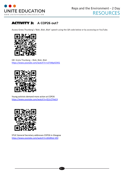

## ACTIVITY 3: **A COP26 out?**

Access Greta Thunberg's 'Blah, Blah, Blah' speech using the QR code below or by accessing on YouTube.



QR: Greta Thunberg – Blah, Blah, Blah <https://www.youtube.com/watch?v=n2TJMpiG5XQ>



Young activists demand more action at COP26 <https://www.youtube.com/watch?v=lZj1rZ7HxC4>



STUC General Secretary addresses COP26 in Glasgow <https://www.youtube.com/watch?v=jDLB9sb-VE0>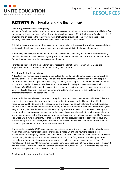

## ACTIVITY 5: **Equality and the Environment**

#### **Case Study A – Consumers and equality**

Women in Britain and Ireland tend to be the primary carers for children, women also are more likely to find themselves in less secure forms of employment and on lower wages. Most single parent families consist of a woman and children in the family home, with that woman providing fir the everyday needs of the children, even if economic support may come from the fathers of the children.

This being the case women are often having to make the daily choices regarding food purchases and those choices will often be governed by available income and constraints in the household budget.

A mum may be heavily inclined to ensure that the children have a healthy diet which is environmentally friendly, plenty of locally harvested organic produce and less reliance of mass produced frozen and tinned fruit which may have travelled halfway around the world.

Parents also want to bring their children up to respect the planet and to learn at an early age, the importance of ethical and environmentally friendly consumption.

#### **Case Study B – Hurricane Katrina**

A disaster like a hurricane can exacerbate the factors that lead people to commit sexual assault, such as poverty, displacement, lack of housing, and lack of a police presence. A disaster can also put people in situations where they're at greater risk of being assaulted, from living with an abusive family member to staying at a crowded shelter. A reliable count of sexual assaults during Hurricane Katrina which hit Louisiana in 2005 is hard to come by because the barriers to reporting assault — always high, even without a natural disaster looming — are even higher during a storm, when resources are stretched and law enforcement is focused on search and rescue.

Almost a third of sexual assaults reported during that storm and Hurricane Rita, which hit New Orleans a month later, took place at evacuation shelters, according to a survey by the National Sexual Violence Resource Center. Shelters were the most common site of reported sexual violence. The most dangerous shelters tended to be those that were understaffed, or where staff were not trained in disaster relief, said Greg Forrester, the president of National Voluntary Organizations Active in Disaster. Overcrowding and chaotic shelter conditions can put evacuees at increased risk of sexual assault. So can inadequate lighting and an abundance of out-of-the-way areas where people can commit violence unobserved. The American Red Cross, which runs the majority of shelters in the Houston area, requires that each shelter have law enforcement present at all times, said Forrester. All Red Cross shelters also have safety officers who are trained to spot warning signs of sexual abuse and assault.

Trans people, especially BAEM trans people, face heightened suffering at all stages of the natural disasters which are becoming more frequent in our changing climate. During Katrina, trans people faced discrimination in emergency shelters, and some were even turned away due to their characteristic. Over a decade later, the Black gay community of New Orleans has still to fully recover. Homeless people are particularly vulnerable to the erratic weather events brought by climate change. In the UK, 24% of homeless youth are LGBTQ+. In Kingston, Jamaica, many ostracised LGBTQ+ young people live in makeshift camps outside the city which can be flattened or flooded by hurricanes. LGBTQ+ are more likely to have trouble crossing borders to escape conflict and disaster.

Article amended from Vox article, Anna North.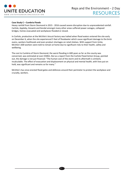

#### **Case Study C – Cumbria Floods**

Heavy rainfall from Storm Desmond in 2015 - 2016 caused severe disruption due to unprecedented rainfall. Carlisle, Appleby, Keswick and Kendal amongst many other areas suffered power outages, collapsed bridges, homes evacuated and workplaces flooded or closed.

In Carlisle, production at the McVitie's biscuit factory was halted when flood waters entered the site early on December 6, when the site experienced 5 feet of floodwater which cause significant damage to the brick ovens, workers livelihoods and even product shortages on retail shelves. With support from Unite, McVitie's 600 workers were told to remain at home due to significant risks to their health, safety and wellbeing.

The cost to Cumbria of Storm Desmond, the worst flooding in 600 years as far as the county was concerned, was estimated at over £500m. But as a report from the Carlisle Flood Action Group, pointed out, the damage is not just financial: "The human cost of the storm and its aftermath is similarly incalculable. The effect of evacuation and displacement on physical and mental health, with lives put on hold, was significant and remains so for many."

McVitie's has since erected flood gates and defences around their perimeter to protect the workplace and crucially, workers.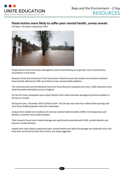

### **Flood victims more likely to suffer poor mental health, survey reveals**

ITV News: Thursday 5 September 2019



People whose homes have been damaged by storms and flooding are at greater risk of mental illness, according to a new study.

Research led by the University of York found that in flood-hit areas like Cumbria and southern Scotland those directly affected are 50% more likely to have mental health problems.

The university team and the National Centre for Social Research analysed more than 7,500 responses to the Adult Psychiatric Morbidity Survey in England.

For the first time, participants were asked whether their home had been damaged by extreme weather in the last six months.

During this time - December 2013 to March 2014 - the UK saw more than four million flood warnings and more than 10,000 properties were left underwater.

Analysts then looked into incidences of common mental health disorders (CMD), from depression and phobias, to anxiety and suicidal thoughts.

Their research found storm related damage was significantly associated with CMD, suicidal ideation and previous suicide attempts.

People were more likely to experience poor mental health even when the damage was relatively minor and they were not forced to leave their homes, the study suggested.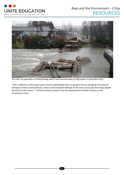

## Reps and the Environment - 2 Day **RESOURCES**



The clear up operation at Pooley Bridge after it was washed away by high water in December 2015.

"*This is reflective of the huge impact storms and flooding have on people's lives as alongside the physical damage to homes and businesses, there is the emotional damage to the sense of security that many people derive from their home."* - Professor Hilary Graham, from the department of health sciences at the University of York.